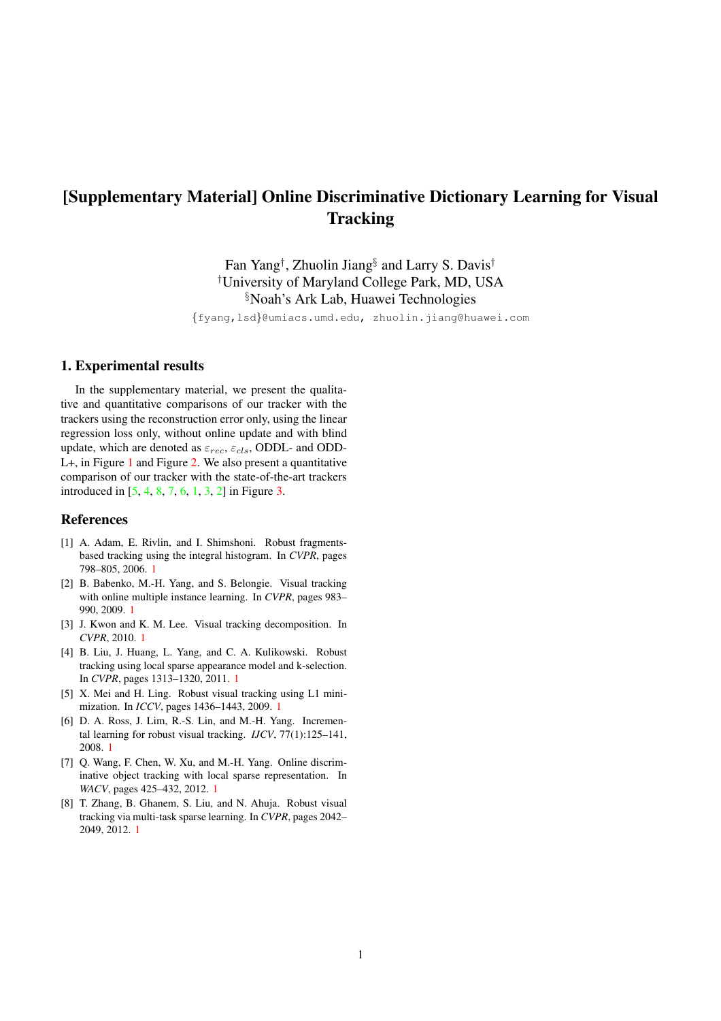## <span id="page-0-8"></span>[Supplementary Material] Online Discriminative Dictionary Learning for Visual **Tracking**

Fan Yang† , Zhuolin Jiang§ and Larry S. Davis† †University of Maryland College Park, MD, USA §Noah's Ark Lab, Huawei Technologies

{fyang,lsd}@umiacs.umd.edu, zhuolin.jiang@huawei.com

## 1. Experimental results

In the supplementary material, we present the qualitative and quantitative comparisons of our tracker with the trackers using the reconstruction error only, using the linear regression loss only, without online update and with blind update, which are denoted as  $\varepsilon_{rec}$ ,  $\varepsilon_{cls}$ , ODDL- and ODD-L+, in Figure [1](#page-1-0) and Figure [2.](#page-2-0) We also present a quantitative comparison of our tracker with the state-of-the-art trackers introduced in [\[5,](#page-0-0) [4,](#page-0-1) [8,](#page-0-2) [7,](#page-0-3) [6,](#page-0-4) [1,](#page-0-5) [3,](#page-0-6) [2\]](#page-0-7) in Figure [3.](#page-3-0)

## References

- <span id="page-0-5"></span>[1] A. Adam, E. Rivlin, and I. Shimshoni. Robust fragmentsbased tracking using the integral histogram. In *CVPR*, pages 798–805, 2006. [1](#page-0-8)
- <span id="page-0-7"></span>[2] B. Babenko, M.-H. Yang, and S. Belongie. Visual tracking with online multiple instance learning. In *CVPR*, pages 983– 990, 2009. [1](#page-0-8)
- <span id="page-0-6"></span>[3] J. Kwon and K. M. Lee. Visual tracking decomposition. In *CVPR*, 2010. [1](#page-0-8)
- <span id="page-0-1"></span>[4] B. Liu, J. Huang, L. Yang, and C. A. Kulikowski. Robust tracking using local sparse appearance model and k-selection. In *CVPR*, pages 1313–1320, 2011. [1](#page-0-8)
- <span id="page-0-0"></span>[5] X. Mei and H. Ling. Robust visual tracking using L1 minimization. In *ICCV*, pages 1436–1443, 2009. [1](#page-0-8)
- <span id="page-0-4"></span>[6] D. A. Ross, J. Lim, R.-S. Lin, and M.-H. Yang. Incremental learning for robust visual tracking. *IJCV*, 77(1):125–141, 2008. [1](#page-0-8)
- <span id="page-0-3"></span>[7] Q. Wang, F. Chen, W. Xu, and M.-H. Yang. Online discriminative object tracking with local sparse representation. In *WACV*, pages 425–432, 2012. [1](#page-0-8)
- <span id="page-0-2"></span>[8] T. Zhang, B. Ghanem, S. Liu, and N. Ahuja. Robust visual tracking via multi-task sparse learning. In *CVPR*, pages 2042– 2049, 2012. [1](#page-0-8)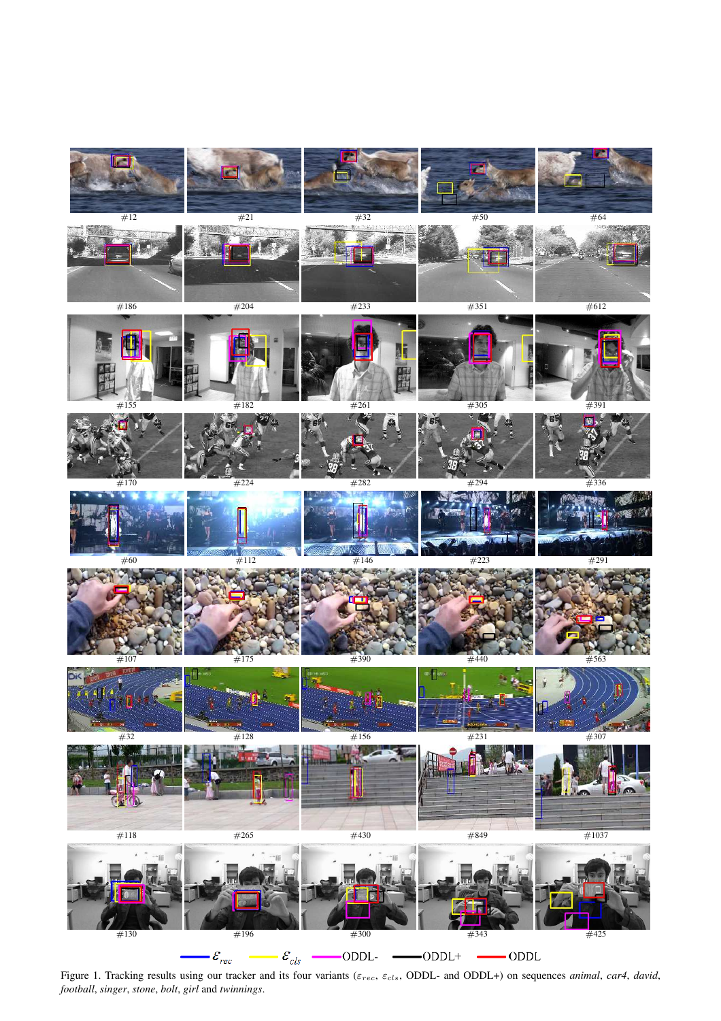<span id="page-1-0"></span>

Figure 1. Tracking results using our tracker and its four variants (εrec, εcls, ODDL- and ODDL+) on sequences *animal*, *car4*, *david*, *football*, *singer*, *stone*, *bolt*, *girl* and *twinnings*.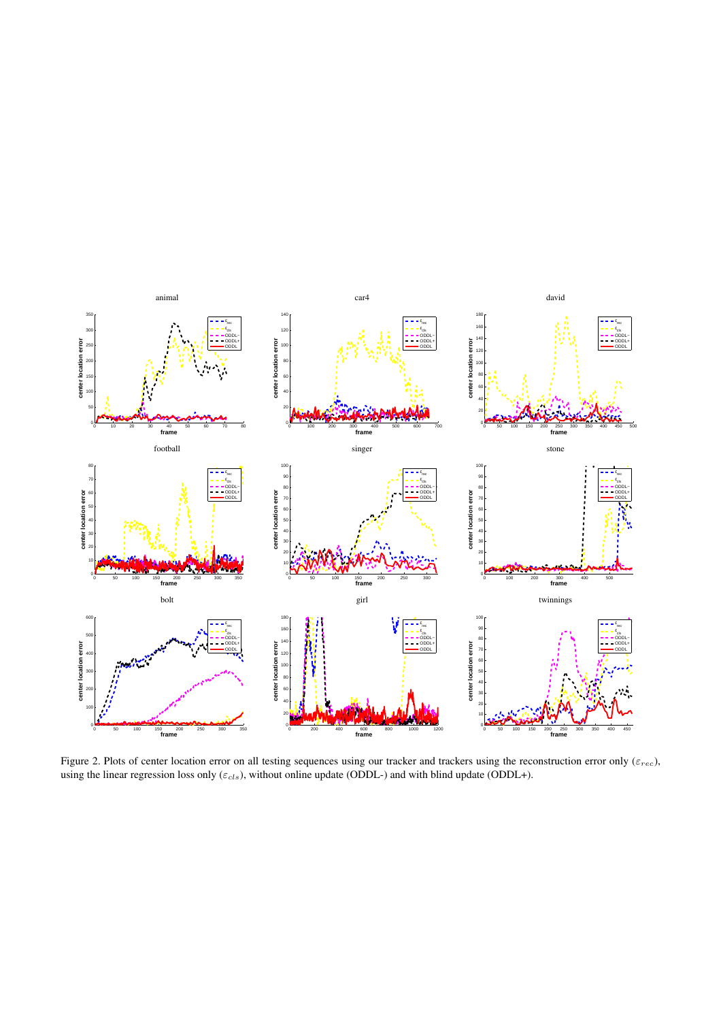

<span id="page-2-0"></span>Figure 2. Plots of center location error on all testing sequences using our tracker and trackers using the reconstruction error only ( $\varepsilon_{rec}$ ), using the linear regression loss only ( $\varepsilon_{cls}$ ), without online update (ODDL-) and with blind update (ODDL+).